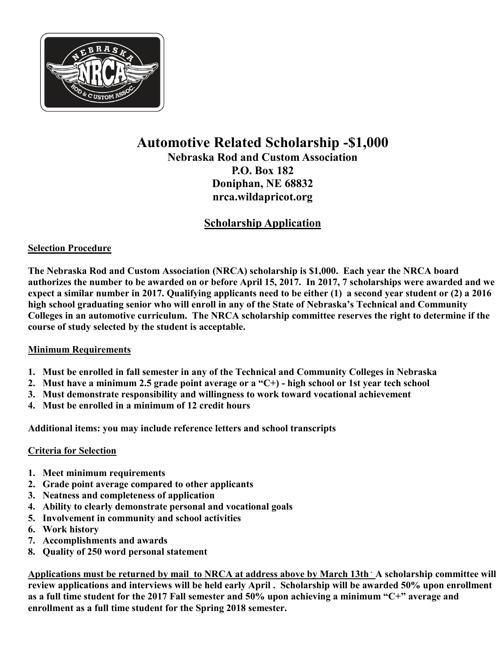

### **Automotive Related Scholarship -\$1,000**

**Nebraska Rod and Custom Association P.O. Box 182 Doniphan, NE 68832 nrca.wildapricot.org**

### **Scholarship Application**

#### **Selection Procedure**

**The Nebraska Rod and Custom Association (NRCA) scholarship is \$1,000. Each year the NRCA board authorizes the number to be awarded on or before April 15, 2017. In 2017, 7 scholarships were awarded and we expect a similar number in 2017. Qualifying applicants need to be either (1) a second year student or (2) a 2016 high school graduating senior who will enroll in any of the State of Nebraska's Technical and Community Colleges in an automotive curriculum. The NRCA scholarship committee reserves the right to determine if the course of study selected by the student is acceptable.** 

#### **Minimum Requirements**

- **1. Must be enrolled in fall semester in any of the Technical and Community Colleges in Nebraska**
- **2. Must have a minimum 2.5 grade point average or a "C+) - high school or 1st year tech school**
- **3. Must demonstrate responsibility and willingness to work toward vocational achievement**
- **4. Must be enrolled in a minimum of 12 credit hours**

**Additional items: you may include reference letters and school transcripts** 

#### **Criteria for Selection**

- **1. Meet minimum requirements**
- **2. Grade point average compared to other applicants**
- **3. Neatness and completeness of application**
- **4. Ability to clearly demonstrate personal and vocational goals**
- **5. Involvement in community and school activities**
- **6. Work history**
- **7. Accomplishments and awards**
- **8. Quality of 250 word personal statement**

**Applications must be returned by mail to NRCA at address above by March 13th . A scholarship committee will review applications and interviews will be held early April . Scholarship will be awarded 50% upon enrollment as a full time student for the 2017 Fall semester and 50% upon achieving a minimum "C+" average and enrollment as a full time student for the Spring 2018 semester.**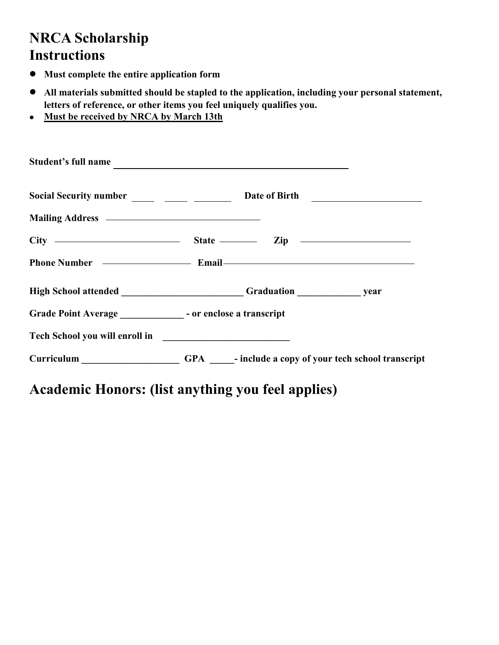## **NRCA Scholarship Instructions**

- **Must complete the entire application form**  $\bullet$
- **All materials submitted should be stapled to the application, including your personal statement,**   $\bullet$ **letters of reference, or other items you feel uniquely qualifies you.**
- **Must be received by NRCA by March 13th**  $\bullet$

| Student's full name                                                              |  |                                                     |
|----------------------------------------------------------------------------------|--|-----------------------------------------------------|
| Social Security number _____ _____ _______ Date of Birth _______________________ |  |                                                     |
|                                                                                  |  |                                                     |
| $City$ $\longrightarrow$ $State$ $\longrightarrow$ $Zip$ $\longrightarrow$       |  |                                                     |
|                                                                                  |  |                                                     |
| High School attended Graduation Graduation year                                  |  |                                                     |
| Grade Point Average _________________ - or enclose a transcript                  |  |                                                     |
|                                                                                  |  |                                                     |
| Curriculum _____________________                                                 |  | GPA - include a copy of your tech school transcript |

# **Academic Honors: (list anything you feel applies)**